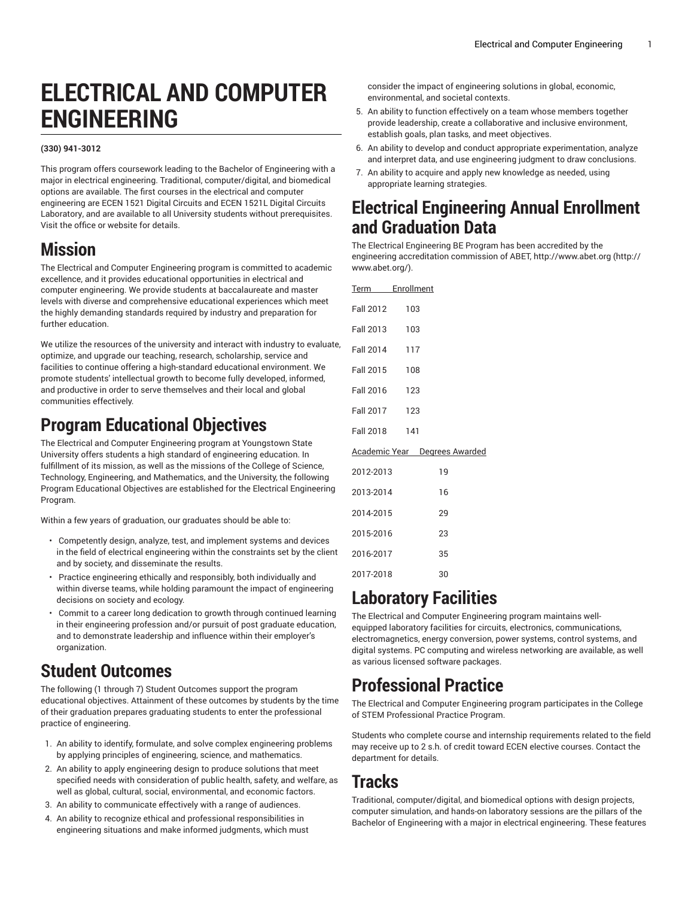# **ELECTRICAL AND COMPUTER ENGINEERING**

#### **(330) 941-3012**

This program offers coursework leading to the Bachelor of Engineering with a major in electrical engineering. Traditional, computer/digital, and biomedical options are available. The first courses in the electrical and computer engineering are ECEN 1521 Digital Circuits and ECEN 1521L Digital Circuits Laboratory, and are available to all University students without prerequisites. Visit the office or website for details.

### **Mission**

The Electrical and Computer Engineering program is committed to academic excellence, and it provides educational opportunities in electrical and computer engineering. We provide students at baccalaureate and master levels with diverse and comprehensive educational experiences which meet the highly demanding standards required by industry and preparation for further education.

We utilize the resources of the university and interact with industry to evaluate, optimize, and upgrade our teaching, research, scholarship, service and facilities to continue offering a high-standard educational environment. We promote students' intellectual growth to become fully developed, informed, and productive in order to serve themselves and their local and global communities effectively.

### **Program Educational Objectives**

The Electrical and Computer Engineering program at Youngstown State University offers students a high standard of engineering education. In fulfillment of its mission, as well as the missions of the College of Science, Technology, Engineering, and Mathematics, and the University, the following Program Educational Objectives are established for the Electrical Engineering Program.

Within a few years of graduation, our graduates should be able to:

- Competently design, analyze, test, and implement systems and devices in the field of electrical engineering within the constraints set by the client and by society, and disseminate the results.
- Practice engineering ethically and responsibly, both individually and within diverse teams, while holding paramount the impact of engineering decisions on society and ecology.
- Commit to a career long dedication to growth through continued learning in their engineering profession and/or pursuit of post graduate education, and to demonstrate leadership and influence within their employer's organization.

### **Student Outcomes**

The following (1 through 7) Student Outcomes support the program educational objectives. Attainment of these outcomes by students by the time of their graduation prepares graduating students to enter the professional practice of engineering.

- 1. An ability to identify, formulate, and solve complex engineering problems by applying principles of engineering, science, and mathematics.
- 2. An ability to apply engineering design to produce solutions that meet specified needs with consideration of public health, safety, and welfare, as well as global, cultural, social, environmental, and economic factors.
- 3. An ability to communicate effectively with a range of audiences.
- 4. An ability to recognize ethical and professional responsibilities in engineering situations and make informed judgments, which must

consider the impact of engineering solutions in global, economic, environmental, and societal contexts.

- 5. An ability to function effectively on a team whose members together provide leadership, create a collaborative and inclusive environment, establish goals, plan tasks, and meet objectives.
- 6. An ability to develop and conduct appropriate experimentation, analyze and interpret data, and use engineering judgment to draw conclusions.
- 7. An ability to acquire and apply new knowledge as needed, using appropriate learning strategies.

### **Electrical Engineering Annual Enrollment and Graduation Data**

The Electrical Engineering BE Program has been accredited by the engineering accreditation commission of ABET, [http://www.abet.org](http://www.abet.org/) ([http://](http://www.abet.org/) [www.abet.org/](http://www.abet.org/)).

| Term Enrollment |                                      |
|-----------------|--------------------------------------|
| Fall 2012       | 103                                  |
| Fall 2013       | 103                                  |
| Fall 2014 117   |                                      |
| Fall 2015       | 108                                  |
| Fall 2016 123   |                                      |
| Fall 2017       | 123                                  |
| Fall 2018 141   |                                      |
|                 | <b>Academic Year</b> Degrees Awarded |
| 2012-2013       | 19                                   |
| 2013-2014       | 16                                   |
| 2014-2015       | 29                                   |
| 2015-2016       | 23                                   |
| 2016-2017       | 35                                   |
| 2017-2018       | 30                                   |

## **Laboratory Facilities**

The Electrical and Computer Engineering program maintains wellequipped laboratory facilities for circuits, electronics, communications, electromagnetics, energy conversion, power systems, control systems, and digital systems. PC computing and wireless networking are available, as well as various licensed software packages.

### **Professional Practice**

The Electrical and Computer Engineering program participates in the College of STEM Professional Practice Program.

Students who complete course and internship requirements related to the field may receive up to 2 s.h. of credit toward ECEN elective courses. Contact the department for details.

### **Tracks**

Traditional, computer/digital, and biomedical options with design projects, computer simulation, and hands-on laboratory sessions are the pillars of the Bachelor of Engineering with a major in electrical engineering. These features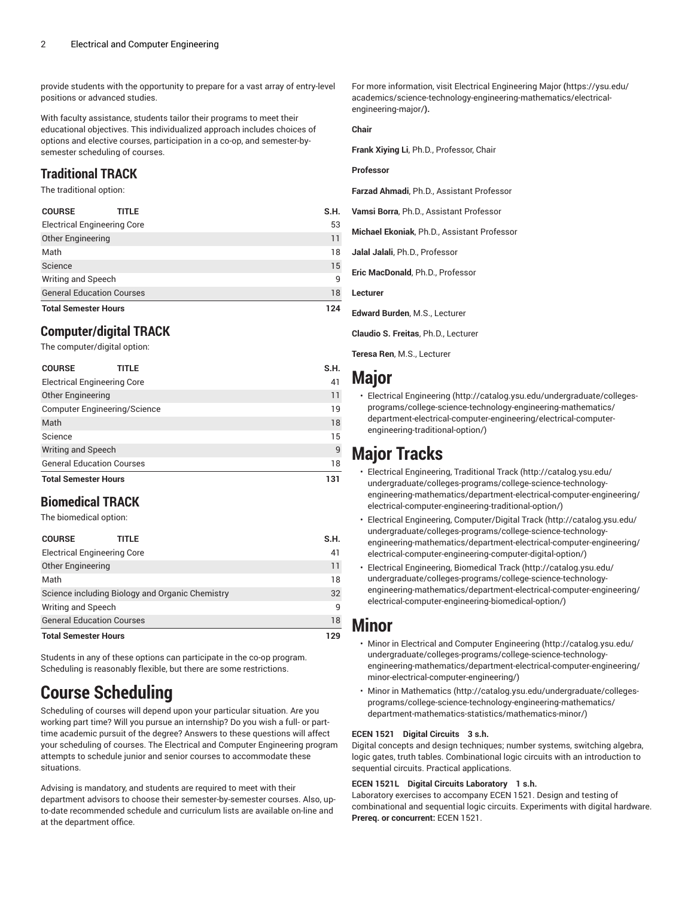provide students with the opportunity to prepare for a vast array of entry-level positions or advanced studies.

With faculty assistance, students tailor their programs to meet their educational objectives. This individualized approach includes choices of options and elective courses, participation in a co-op, and semester-bysemester scheduling of courses.

### **Traditional TRACK**

The traditional option:

| <b>Other Engineering</b>         | 11       |
|----------------------------------|----------|
| Math<br>Science                  | 18<br>15 |
| Writing and Speech               | 9        |
| <b>General Education Courses</b> | 18       |
| <b>Total Semester Hours</b>      | 124      |

### **Computer/digital TRACK**

The computer/digital option:

| <b>COURSE</b><br>TITLE              | S.H. |
|-------------------------------------|------|
| <b>Electrical Engineering Core</b>  | 41   |
| <b>Other Engineering</b>            | 11   |
| <b>Computer Engineering/Science</b> | 19   |
| Math                                | 18   |
| Science                             | 15   |
| Writing and Speech                  | 9    |
| <b>General Education Courses</b>    | 18   |
| <b>Total Semester Hours</b>         | 131  |

### **Biomedical TRACK**

The biomedical option:

| <b>COURSE</b>                                   | title | S.H. |
|-------------------------------------------------|-------|------|
| <b>Electrical Engineering Core</b>              | 41    |      |
| <b>Other Engineering</b>                        |       | 11   |
| Math                                            |       | 18   |
| Science including Biology and Organic Chemistry | 32    |      |
| Writing and Speech                              | q     |      |
| <b>General Education Courses</b>                | 18    |      |
| <b>Total Semester Hours</b>                     |       | 129  |

Students in any of these options can participate in the co-op program. Scheduling is reasonably flexible, but there are some restrictions.

## **Course Scheduling**

Scheduling of courses will depend upon your particular situation. Are you working part time? Will you pursue an internship? Do you wish a full- or parttime academic pursuit of the degree? Answers to these questions will affect your scheduling of courses. The Electrical and Computer Engineering program attempts to schedule junior and senior courses to accommodate these situations.

Advising is mandatory, and students are required to meet with their department advisors to choose their semester-by-semester courses. Also, upto-date recommended schedule and curriculum lists are available on-line and at the department office.

For more information, visit [Electrical Engineering Major](https://ysu.edu/academics/science-technology-engineering-mathematics/electrical-engineering-major/) **(**[https://ysu.edu/](https://ysu.edu/academics/science-technology-engineering-mathematics/electrical-engineering-major/) [academics/science-technology-engineering-mathematics/electrical](https://ysu.edu/academics/science-technology-engineering-mathematics/electrical-engineering-major/)[engineering-major/](https://ysu.edu/academics/science-technology-engineering-mathematics/electrical-engineering-major/)**).**

### **Chair**

**Frank Xiying Li**, Ph.D., Professor, Chair

#### **Professor**

**Farzad Ahmadi**, Ph.D., Assistant Professor

**Vamsi Borra**, Ph.D., Assistant Professor

**Michael Ekoniak**, Ph.D., Assistant Professor

**Jalal Jalali**, Ph.D., Professor

**Eric MacDonald**, Ph.D., Professor

**Lecturer**

**Edward Burden**, M.S., Lecturer

**Claudio S. Freitas**, Ph.D., Lecturer

**Teresa Ren**, M.S., Lecturer

### **Major**

• [Electrical Engineering](http://catalog.ysu.edu/undergraduate/colleges-programs/college-science-technology-engineering-mathematics/department-electrical-computer-engineering/electrical-computer-engineering-traditional-option/) ([http://catalog.ysu.edu/undergraduate/colleges](http://catalog.ysu.edu/undergraduate/colleges-programs/college-science-technology-engineering-mathematics/department-electrical-computer-engineering/electrical-computer-engineering-traditional-option/)[programs/college-science-technology-engineering-mathematics/](http://catalog.ysu.edu/undergraduate/colleges-programs/college-science-technology-engineering-mathematics/department-electrical-computer-engineering/electrical-computer-engineering-traditional-option/) [department-electrical-computer-engineering/electrical-computer](http://catalog.ysu.edu/undergraduate/colleges-programs/college-science-technology-engineering-mathematics/department-electrical-computer-engineering/electrical-computer-engineering-traditional-option/)[engineering-traditional-option/](http://catalog.ysu.edu/undergraduate/colleges-programs/college-science-technology-engineering-mathematics/department-electrical-computer-engineering/electrical-computer-engineering-traditional-option/))

## **Major Tracks**

- Electrical [Engineering,](http://catalog.ysu.edu/undergraduate/colleges-programs/college-science-technology-engineering-mathematics/department-electrical-computer-engineering/electrical-computer-engineering-traditional-option/) Traditional Track ([http://catalog.ysu.edu/](http://catalog.ysu.edu/undergraduate/colleges-programs/college-science-technology-engineering-mathematics/department-electrical-computer-engineering/electrical-computer-engineering-traditional-option/) [undergraduate/colleges-programs/college-science-technology](http://catalog.ysu.edu/undergraduate/colleges-programs/college-science-technology-engineering-mathematics/department-electrical-computer-engineering/electrical-computer-engineering-traditional-option/)[engineering-mathematics/department-electrical-computer-engineering/](http://catalog.ysu.edu/undergraduate/colleges-programs/college-science-technology-engineering-mathematics/department-electrical-computer-engineering/electrical-computer-engineering-traditional-option/) [electrical-computer-engineering-traditional-option/](http://catalog.ysu.edu/undergraduate/colleges-programs/college-science-technology-engineering-mathematics/department-electrical-computer-engineering/electrical-computer-engineering-traditional-option/))
- Electrical Engineering, [Computer/Digital](http://catalog.ysu.edu/undergraduate/colleges-programs/college-science-technology-engineering-mathematics/department-electrical-computer-engineering/electrical-computer-engineering-computer-digital-option/) Track ([http://catalog.ysu.edu/](http://catalog.ysu.edu/undergraduate/colleges-programs/college-science-technology-engineering-mathematics/department-electrical-computer-engineering/electrical-computer-engineering-computer-digital-option/) [undergraduate/colleges-programs/college-science-technology](http://catalog.ysu.edu/undergraduate/colleges-programs/college-science-technology-engineering-mathematics/department-electrical-computer-engineering/electrical-computer-engineering-computer-digital-option/)[engineering-mathematics/department-electrical-computer-engineering/](http://catalog.ysu.edu/undergraduate/colleges-programs/college-science-technology-engineering-mathematics/department-electrical-computer-engineering/electrical-computer-engineering-computer-digital-option/) [electrical-computer-engineering-computer-digital-option/](http://catalog.ysu.edu/undergraduate/colleges-programs/college-science-technology-engineering-mathematics/department-electrical-computer-engineering/electrical-computer-engineering-computer-digital-option/))
- Electrical [Engineering,](http://catalog.ysu.edu/undergraduate/colleges-programs/college-science-technology-engineering-mathematics/department-electrical-computer-engineering/electrical-computer-engineering-biomedical-option/) Biomedical Track [\(http://catalog.ysu.edu/](http://catalog.ysu.edu/undergraduate/colleges-programs/college-science-technology-engineering-mathematics/department-electrical-computer-engineering/electrical-computer-engineering-biomedical-option/) [undergraduate/colleges-programs/college-science-technology](http://catalog.ysu.edu/undergraduate/colleges-programs/college-science-technology-engineering-mathematics/department-electrical-computer-engineering/electrical-computer-engineering-biomedical-option/)[engineering-mathematics/department-electrical-computer-engineering/](http://catalog.ysu.edu/undergraduate/colleges-programs/college-science-technology-engineering-mathematics/department-electrical-computer-engineering/electrical-computer-engineering-biomedical-option/) [electrical-computer-engineering-biomedical-option/](http://catalog.ysu.edu/undergraduate/colleges-programs/college-science-technology-engineering-mathematics/department-electrical-computer-engineering/electrical-computer-engineering-biomedical-option/))

### **Minor**

- [Minor in Electrical and Computer Engineering](http://catalog.ysu.edu/undergraduate/colleges-programs/college-science-technology-engineering-mathematics/department-electrical-computer-engineering/minor-electrical-computer-engineering/) ([http://catalog.ysu.edu/](http://catalog.ysu.edu/undergraduate/colleges-programs/college-science-technology-engineering-mathematics/department-electrical-computer-engineering/minor-electrical-computer-engineering/) [undergraduate/colleges-programs/college-science-technology](http://catalog.ysu.edu/undergraduate/colleges-programs/college-science-technology-engineering-mathematics/department-electrical-computer-engineering/minor-electrical-computer-engineering/)[engineering-mathematics/department-electrical-computer-engineering/](http://catalog.ysu.edu/undergraduate/colleges-programs/college-science-technology-engineering-mathematics/department-electrical-computer-engineering/minor-electrical-computer-engineering/) [minor-electrical-computer-engineering/\)](http://catalog.ysu.edu/undergraduate/colleges-programs/college-science-technology-engineering-mathematics/department-electrical-computer-engineering/minor-electrical-computer-engineering/)
- [Minor in Mathematics](http://catalog.ysu.edu/undergraduate/colleges-programs/college-science-technology-engineering-mathematics/department-mathematics-statistics/mathematics-minor/) ([http://catalog.ysu.edu/undergraduate/colleges](http://catalog.ysu.edu/undergraduate/colleges-programs/college-science-technology-engineering-mathematics/department-mathematics-statistics/mathematics-minor/)[programs/college-science-technology-engineering-mathematics/](http://catalog.ysu.edu/undergraduate/colleges-programs/college-science-technology-engineering-mathematics/department-mathematics-statistics/mathematics-minor/) [department-mathematics-statistics/mathematics-minor/\)](http://catalog.ysu.edu/undergraduate/colleges-programs/college-science-technology-engineering-mathematics/department-mathematics-statistics/mathematics-minor/)

#### **ECEN 1521 Digital Circuits 3 s.h.**

Digital concepts and design techniques; number systems, switching algebra, logic gates, truth tables. Combinational logic circuits with an introduction to sequential circuits. Practical applications.

### **ECEN 1521L Digital Circuits Laboratory 1 s.h.**

Laboratory exercises to accompany ECEN 1521. Design and testing of combinational and sequential logic circuits. Experiments with digital hardware. **Prereq. or concurrent:** ECEN 1521.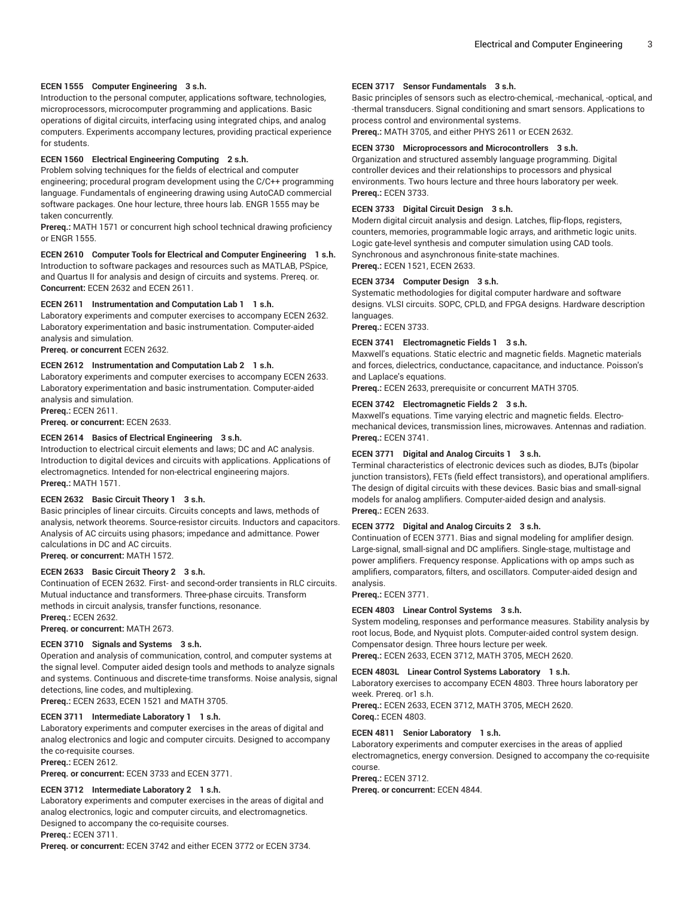#### **ECEN 1555 Computer Engineering 3 s.h.**

Introduction to the personal computer, applications software, technologies, microprocessors, microcomputer programming and applications. Basic operations of digital circuits, interfacing using integrated chips, and analog computers. Experiments accompany lectures, providing practical experience for students.

#### **ECEN 1560 Electrical Engineering Computing 2 s.h.**

Problem solving techniques for the fields of electrical and computer engineering; procedural program development using the C/C++ programming language. Fundamentals of engineering drawing using AutoCAD commercial software packages. One hour lecture, three hours lab. ENGR 1555 may be taken concurrently.

**Prereq.:** MATH 1571 or concurrent high school technical drawing proficiency or ENGR 1555.

**ECEN 2610 Computer Tools for Electrical and Computer Engineering 1 s.h.**

Introduction to software packages and resources such as MATLAB, PSpice, and Quartus II for analysis and design of circuits and systems. Prereq. or. **Concurrent:** ECEN 2632 and ECEN 2611.

#### **ECEN 2611 Instrumentation and Computation Lab 1 1 s.h.**

Laboratory experiments and computer exercises to accompany ECEN 2632. Laboratory experimentation and basic instrumentation. Computer-aided analysis and simulation.

**Prereq. or concurrent** ECEN 2632.

#### **ECEN 2612 Instrumentation and Computation Lab 2 1 s.h.**

Laboratory experiments and computer exercises to accompany ECEN 2633. Laboratory experimentation and basic instrumentation. Computer-aided analysis and simulation.

**Prereq.:** ECEN 2611.

**Prereq. or concurrent:** ECEN 2633.

#### **ECEN 2614 Basics of Electrical Engineering 3 s.h.**

Introduction to electrical circuit elements and laws; DC and AC analysis. Introduction to digital devices and circuits with applications. Applications of electromagnetics. Intended for non-electrical engineering majors. **Prereq.:** MATH 1571.

#### **ECEN 2632 Basic Circuit Theory 1 3 s.h.**

Basic principles of linear circuits. Circuits concepts and laws, methods of analysis, network theorems. Source-resistor circuits. Inductors and capacitors. Analysis of AC circuits using phasors; impedance and admittance. Power calculations in DC and AC circuits. **Prereq. or concurrent:** MATH 1572.

#### **ECEN 2633 Basic Circuit Theory 2 3 s.h.**

Continuation of ECEN 2632. First- and second-order transients in RLC circuits. Mutual inductance and transformers. Three-phase circuits. Transform methods in circuit analysis, transfer functions, resonance. **Prereq.:** ECEN 2632.

**Prereq. or concurrent:** MATH 2673.

#### **ECEN 3710 Signals and Systems 3 s.h.**

Operation and analysis of communication, control, and computer systems at the signal level. Computer aided design tools and methods to analyze signals and systems. Continuous and discrete-time transforms. Noise analysis, signal detections, line codes, and multiplexing.

**Prereq.:** ECEN 2633, ECEN 1521 and MATH 3705.

#### **ECEN 3711 Intermediate Laboratory 1 1 s.h.**

Laboratory experiments and computer exercises in the areas of digital and analog electronics and logic and computer circuits. Designed to accompany the co-requisite courses.

**Prereq.:** ECEN 2612.

**Prereq. or concurrent:** ECEN 3733 and ECEN 3771.

#### **ECEN 3712 Intermediate Laboratory 2 1 s.h.**

Laboratory experiments and computer exercises in the areas of digital and analog electronics, logic and computer circuits, and electromagnetics. Designed to accompany the co-requisite courses. **Prereq.:** ECEN 3711.

**Prereq. or concurrent:** ECEN 3742 and either ECEN 3772 or ECEN 3734.

#### **ECEN 3717 Sensor Fundamentals 3 s.h.**

Basic principles of sensors such as electro-chemical, -mechanical, -optical, and -thermal transducers. Signal conditioning and smart sensors. Applications to process control and environmental systems.

**Prereq.:** MATH 3705, and either PHYS 2611 or ECEN 2632.

#### **ECEN 3730 Microprocessors and Microcontrollers 3 s.h.**

Organization and structured assembly language programming. Digital controller devices and their relationships to processors and physical environments. Two hours lecture and three hours laboratory per week. **Prereq.:** ECEN 3733.

#### **ECEN 3733 Digital Circuit Design 3 s.h.**

Modern digital circuit analysis and design. Latches, flip-flops, registers, counters, memories, programmable logic arrays, and arithmetic logic units. Logic gate-level synthesis and computer simulation using CAD tools. Synchronous and asynchronous finite-state machines. **Prereq.:** ECEN 1521, ECEN 2633.

#### **ECEN 3734 Computer Design 3 s.h.**

Systematic methodologies for digital computer hardware and software designs. VLSI circuits. SOPC, CPLD, and FPGA designs. Hardware description languages.

**Prereq.:** ECEN 3733.

#### **ECEN 3741 Electromagnetic Fields 1 3 s.h.**

Maxwell's equations. Static electric and magnetic fields. Magnetic materials and forces, dielectrics, conductance, capacitance, and inductance. Poisson's and Laplace's equations.

**Prereq.:** ECEN 2633, prerequisite or concurrent MATH 3705.

#### **ECEN 3742 Electromagnetic Fields 2 3 s.h.**

Maxwell's equations. Time varying electric and magnetic fields. Electromechanical devices, transmission lines, microwaves. Antennas and radiation. **Prereq.:** ECEN 3741.

#### **ECEN 3771 Digital and Analog Circuits 1 3 s.h.**

Terminal characteristics of electronic devices such as diodes, BJTs (bipolar junction transistors), FETs (field effect transistors), and operational amplifiers. The design of digital circuits with these devices. Basic bias and small-signal models for analog amplifiers. Computer-aided design and analysis. **Prereq.:** ECEN 2633.

#### **ECEN 3772 Digital and Analog Circuits 2 3 s.h.**

Continuation of ECEN 3771. Bias and signal modeling for amplifier design. Large-signal, small-signal and DC amplifiers. Single-stage, multistage and power amplifiers. Frequency response. Applications with op amps such as amplifiers, comparators, filters, and oscillators. Computer-aided design and analysis.

#### **Prereq.:** ECEN 3771.

#### **ECEN 4803 Linear Control Systems 3 s.h.**

System modeling, responses and performance measures. Stability analysis by root locus, Bode, and Nyquist plots. Computer-aided control system design. Compensator design. Three hours lecture per week.

**Prereq.:** ECEN 2633, ECEN 3712, MATH 3705, MECH 2620.

#### **ECEN 4803L Linear Control Systems Laboratory 1 s.h.**

Laboratory exercises to accompany ECEN 4803. Three hours laboratory per week. Prereq. or1 s.h.

**Prereq.:** ECEN 2633, ECEN 3712, MATH 3705, MECH 2620. **Coreq.:** ECEN 4803.

#### **ECEN 4811 Senior Laboratory 1 s.h.**

Laboratory experiments and computer exercises in the areas of applied electromagnetics, energy conversion. Designed to accompany the co-requisite course.

**Prereq.:** ECEN 3712.

**Prereq. or concurrent:** ECEN 4844.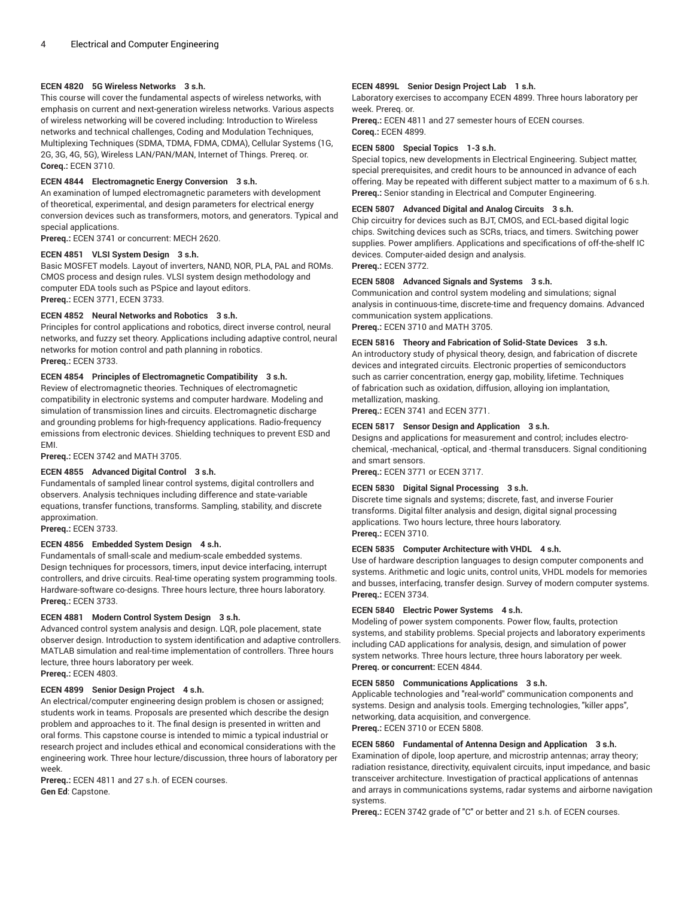#### **ECEN 4820 5G Wireless Networks 3 s.h.**

This course will cover the fundamental aspects of wireless networks, with emphasis on current and next-generation wireless networks. Various aspects of wireless networking will be covered including: Introduction to Wireless networks and technical challenges, Coding and Modulation Techniques, Multiplexing Techniques (SDMA, TDMA, FDMA, CDMA), Cellular Systems (1G, 2G, 3G, 4G, 5G), Wireless LAN/PAN/MAN, Internet of Things. Prereq. or. **Coreq.:** ECEN 3710.

#### **ECEN 4844 Electromagnetic Energy Conversion 3 s.h.**

An examination of lumped electromagnetic parameters with development of theoretical, experimental, and design parameters for electrical energy conversion devices such as transformers, motors, and generators. Typical and special applications.

**Prereq.:** ECEN 3741 or concurrent: MECH 2620.

#### **ECEN 4851 VLSI System Design 3 s.h.**

Basic MOSFET models. Layout of inverters, NAND, NOR, PLA, PAL and ROMs. CMOS process and design rules. VLSI system design methodology and computer EDA tools such as PSpice and layout editors. **Prereq.:** ECEN 3771, ECEN 3733.

#### **ECEN 4852 Neural Networks and Robotics 3 s.h.**

Principles for control applications and robotics, direct inverse control, neural networks, and fuzzy set theory. Applications including adaptive control, neural networks for motion control and path planning in robotics. **Prereq.:** ECEN 3733.

#### **ECEN 4854 Principles of Electromagnetic Compatibility 3 s.h.**

Review of electromagnetic theories. Techniques of electromagnetic compatibility in electronic systems and computer hardware. Modeling and simulation of transmission lines and circuits. Electromagnetic discharge and grounding problems for high-frequency applications. Radio-frequency emissions from electronic devices. Shielding techniques to prevent ESD and EMI.

**Prereq.:** ECEN 3742 and MATH 3705.

#### **ECEN 4855 Advanced Digital Control 3 s.h.**

Fundamentals of sampled linear control systems, digital controllers and observers. Analysis techniques including difference and state-variable equations, transfer functions, transforms. Sampling, stability, and discrete approximation.

**Prereq.:** ECEN 3733.

#### **ECEN 4856 Embedded System Design 4 s.h.**

Fundamentals of small-scale and medium-scale embedded systems. Design techniques for processors, timers, input device interfacing, interrupt controllers, and drive circuits. Real-time operating system programming tools. Hardware-software co-designs. Three hours lecture, three hours laboratory. **Prereq.:** ECEN 3733.

#### **ECEN 4881 Modern Control System Design 3 s.h.**

Advanced control system analysis and design. LQR, pole placement, state observer design. Introduction to system identification and adaptive controllers. MATLAB simulation and real-time implementation of controllers. Three hours lecture, three hours laboratory per week. **Prereq.:** ECEN 4803.

**ECEN 4899 Senior Design Project 4 s.h.** An electrical/computer engineering design problem is chosen or assigned; students work in teams. Proposals are presented which describe the design problem and approaches to it. The final design is presented in written and oral forms. This capstone course is intended to mimic a typical industrial or research project and includes ethical and economical considerations with the engineering work. Three hour lecture/discussion, three hours of laboratory per week.

**Prereq.:** ECEN 4811 and 27 s.h. of ECEN courses. **Gen Ed**: Capstone.

#### **ECEN 4899L Senior Design Project Lab 1 s.h.**

Laboratory exercises to accompany ECEN 4899. Three hours laboratory per week. Prereq. or.

**Prereq.:** ECEN 4811 and 27 semester hours of ECEN courses. **Coreq.:** ECEN 4899.

#### **ECEN 5800 Special Topics 1-3 s.h.**

Special topics, new developments in Electrical Engineering. Subject matter, special prerequisites, and credit hours to be announced in advance of each offering. May be repeated with different subject matter to a maximum of 6 s.h. **Prereq.:** Senior standing in Electrical and Computer Engineering.

#### **ECEN 5807 Advanced Digital and Analog Circuits 3 s.h.**

Chip circuitry for devices such as BJT, CMOS, and ECL-based digital logic chips. Switching devices such as SCRs, triacs, and timers. Switching power supplies. Power amplifiers. Applications and specifications of off-the-shelf IC devices. Computer-aided design and analysis.

**Prereq.:** ECEN 3772.

#### **ECEN 5808 Advanced Signals and Systems 3 s.h.**

Communication and control system modeling and simulations; signal analysis in continuous-time, discrete-time and frequency domains. Advanced communication system applications. **Prereq.:** ECEN 3710 and MATH 3705.

#### **ECEN 5816 Theory and Fabrication of Solid-State Devices 3 s.h.**

An introductory study of physical theory, design, and fabrication of discrete devices and integrated circuits. Electronic properties of semiconductors such as carrier concentration, energy gap, mobility, lifetime. Techniques of fabrication such as oxidation, diffusion, alloying ion implantation, metallization, masking.

**Prereq.:** ECEN 3741 and ECEN 3771.

#### **ECEN 5817 Sensor Design and Application 3 s.h.**

Designs and applications for measurement and control; includes electrochemical, -mechanical, -optical, and -thermal transducers. Signal conditioning and smart sensors.

**Prereq.:** ECEN 3771 or ECEN 3717.

#### **ECEN 5830 Digital Signal Processing 3 s.h.**

Discrete time signals and systems; discrete, fast, and inverse Fourier transforms. Digital filter analysis and design, digital signal processing applications. Two hours lecture, three hours laboratory. **Prereq.:** ECEN 3710.

#### **ECEN 5835 Computer Architecture with VHDL 4 s.h.**

Use of hardware description languages to design computer components and systems. Arithmetic and logic units, control units, VHDL models for memories and busses, interfacing, transfer design. Survey of modern computer systems. **Prereq.:** ECEN 3734.

#### **ECEN 5840 Electric Power Systems 4 s.h.**

Modeling of power system components. Power flow, faults, protection systems, and stability problems. Special projects and laboratory experiments including CAD applications for analysis, design, and simulation of power system networks. Three hours lecture, three hours laboratory per week. **Prereq. or concurrent:** ECEN 4844.

#### **ECEN 5850 Communications Applications 3 s.h.**

Applicable technologies and "real-world" communication components and systems. Design and analysis tools. Emerging technologies, "killer apps", networking, data acquisition, and convergence. **Prereq.:** ECEN 3710 or ECEN 5808.

#### **ECEN 5860 Fundamental of Antenna Design and Application 3 s.h.**

Examination of dipole, loop aperture, and microstrip antennas; array theory; radiation resistance, directivity, equivalent circuits, input impedance, and basic transceiver architecture. Investigation of practical applications of antennas and arrays in communications systems, radar systems and airborne navigation systems.

**Prereq.:** ECEN 3742 grade of "C" or better and 21 s.h. of ECEN courses.